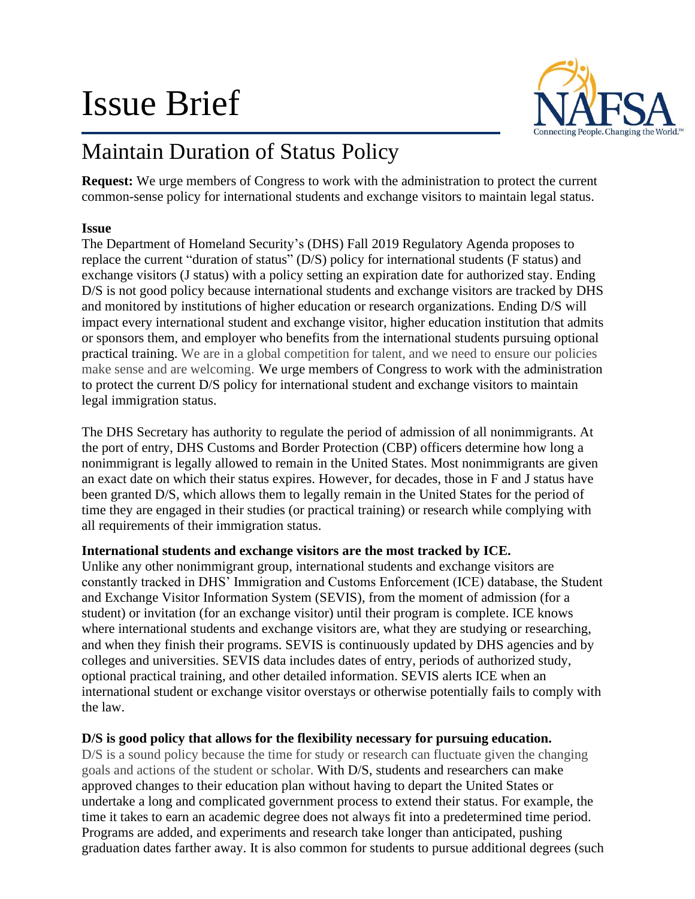# Issue Brief



# Maintain Duration of Status Policy

**Request:** We urge members of Congress to work with the administration to protect the current common-sense policy for international students and exchange visitors to maintain legal status.

### **Issue**

The Department of Homeland Security's (DHS) Fall 2019 Regulatory Agenda proposes to replace the current "duration of status" (D/S) policy for international students (F status) and exchange visitors (J status) with a policy setting an expiration date for authorized stay. Ending D/S is not good policy because international students and exchange visitors are tracked by DHS and monitored by institutions of higher education or research organizations. Ending D/S will impact every international student and exchange visitor, higher education institution that admits or sponsors them, and employer who benefits from the international students pursuing optional practical training. We are in a global competition for talent, and we need to ensure our policies make sense and are welcoming. We urge members of Congress to work with the administration to protect the current D/S policy for international student and exchange visitors to maintain legal immigration status.

The DHS Secretary has authority to regulate the period of admission of all nonimmigrants. At the port of entry, DHS Customs and Border Protection (CBP) officers determine how long a nonimmigrant is legally allowed to remain in the United States. Most nonimmigrants are given an exact date on which their status expires. However, for decades, those in F and J status have been granted D/S, which allows them to legally remain in the United States for the period of time they are engaged in their studies (or practical training) or research while complying with all requirements of their immigration status.

# **International students and exchange visitors are the most tracked by ICE.**

Unlike any other nonimmigrant group, international students and exchange visitors are constantly tracked in DHS' Immigration and Customs Enforcement (ICE) database, the Student and Exchange Visitor Information System (SEVIS), from the moment of admission (for a student) or invitation (for an exchange visitor) until their program is complete. ICE knows where international students and exchange visitors are, what they are studying or researching, and when they finish their programs. SEVIS is continuously updated by DHS agencies and by colleges and universities. SEVIS data includes dates of entry, periods of authorized study, optional practical training, and other detailed information. SEVIS alerts ICE when an international student or exchange visitor overstays or otherwise potentially fails to comply with the law.

# **D/S is good policy that allows for the flexibility necessary for pursuing education.**

D/S is a sound policy because the time for study or research can fluctuate given the changing goals and actions of the student or scholar. With D/S, students and researchers can make approved changes to their education plan without having to depart the United States or undertake a long and complicated government process to extend their status. For example, the time it takes to earn an academic degree does not always fit into a predetermined time period. Programs are added, and experiments and research take longer than anticipated, pushing graduation dates farther away. It is also common for students to pursue additional degrees (such